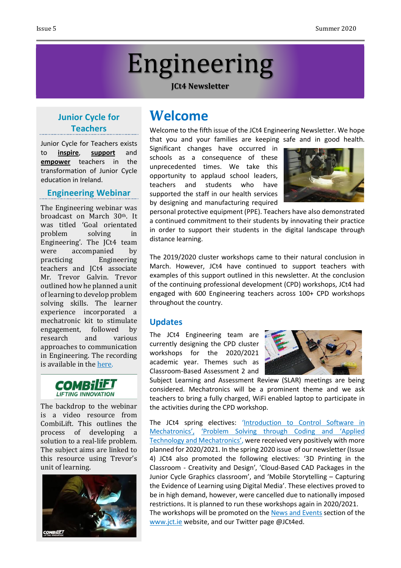# Engineering

#### **JCt4 Newsletter**

# **Junior Cycle for Teachers**

Junior Cycle for Teachers exists to **inspire**, **support** and **empower** teachers in the transformation of Junior Cycle education in Ireland.

#### **Engineering Webinar**

The Engineering webinar was broadcast on March 30th. It was titled 'Goal orientated problem solving in Engineering'. The JCt4 team were accompanied by practicing Engineering teachers and JCt4 associate Mr. Trevor Galvin. Trevor outlined how he planned a unit of learning to develop problem solving skills. The learner experience incorporated a mechatronic kit to stimulate engagement, followed by research and various approaches to communication in Engineering. The recording is available in the [here.](http://jct.ie/technologies/cpd_supports_engineering_elective_workshops)



The backdrop to the webinar is a video resource from CombiLift. This outlines the process of developing a solution to a real-life problem. The subject aims are linked to this resource using Trevor's unit of learning.



# **Welcome**

Welcome to the fifth issue of the JCt4 Engineering Newsletter. We hope that you and your families are keeping safe and in good health.

Significant changes have occurred in schools as a consequence of these unprecedented times. We take this opportunity to applaud school leaders, teachers and students who have supported the staff in our health services by designing and manufacturing required



personal protective equipment (PPE). Teachers have also demonstrated a continued commitment to their students by innovating their practice in order to support their students in the digital landscape through distance learning.

The 2019/2020 cluster workshops came to their natural conclusion in March. However, JCt4 have continued to support teachers with examples of this support outlined in this newsletter. At the conclusion of the continuing professional development (CPD) workshops, JCt4 had engaged with 600 Engineering teachers across 100+ CPD workshops throughout the country.

### **Updates**

The JCt4 Engineering team are currently designing the CPD cluster workshops for the 2020/2021 academic year. Themes such as Classroom-Based Assessment 2 and



Subject Learning and Assessment Review (SLAR) meetings are being considered. Mechatronics will be a prominent theme and we ask teachers to bring a fully charged, WiFi enabled laptop to participate in the activities during the CPD workshop.

The JCt4 spring electives: '[Introduction](http://jct.ie/perch/resources/technologies/introduction-to-control-software-in-mechatronics-resource.pdf) to Control Software in [Mechatronics'](http://jct.ie/perch/resources/technologies/introduction-to-control-software-in-mechatronics-resource.pdf), ['Problem](https://www.jct.ie/technologies/cpd_supports_applied_technology_elective_workshops) Solving through Coding and 'Applied [Technology](https://www.jct.ie/technologies/cpd_supports_applied_technology_elective_workshops) and Mechatronics', were received very positively with more planned for 2020/2021. In the spring 2020 issue of our newsletter (Issue 4) JCt4 also promoted the following electives: '3D Printing in the Classroom - Creativity and Design', 'Cloud-Based CAD Packages in the Junior Cycle Graphics classroom', and 'Mobile Storytelling – Capturing the Evidence of Learning using Digital Media'. These electives proved to be in high demand, however, were cancelled due to nationally imposed restrictions. It is planned to run these workshops again in 2020/2021. The workshops will be promoted on the News and [Events](http://jct.ie/technologies/news_events) section of the [www.jct.ie](http://www.jct.ie/) website, and our Twitter page @JCt4ed.